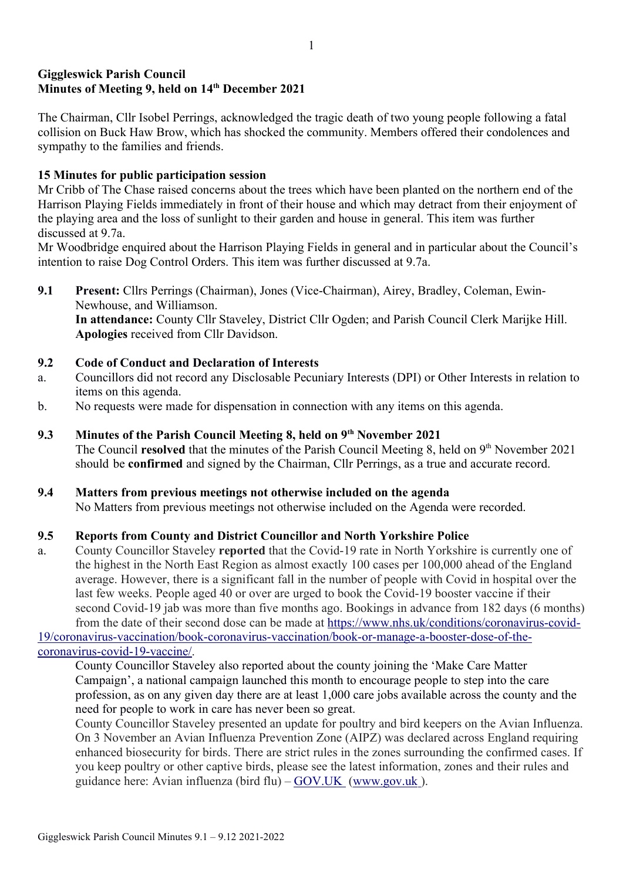# Giggleswick Parish Council Minutes of Meeting 9, held on 14<sup>th</sup> December 2021

The Chairman, Cllr Isobel Perrings, acknowledged the tragic death of two young people following a fatal collision on Buck Haw Brow, which has shocked the community. Members offered their condolences and sympathy to the families and friends.

# 15 Minutes for public participation session

Mr Cribb of The Chase raised concerns about the trees which have been planted on the northern end of the Harrison Playing Fields immediately in front of their house and which may detract from their enjoyment of the playing area and the loss of sunlight to their garden and house in general. This item was further discussed at 9.7a.

Mr Woodbridge enquired about the Harrison Playing Fields in general and in particular about the Council's intention to raise Dog Control Orders. This item was further discussed at 9.7a.

9.1 Present: Cllrs Perrings (Chairman), Jones (Vice-Chairman), Airey, Bradley, Coleman, Ewin-Newhouse, and Williamson. In attendance: County Cllr Staveley, District Cllr Ogden; and Parish Council Clerk Marijke Hill. Apologies received from Cllr Davidson.

# 9.2 Code of Conduct and Declaration of Interests

- a. Councillors did not record any Disclosable Pecuniary Interests (DPI) or Other Interests in relation to items on this agenda.
- b. No requests were made for dispensation in connection with any items on this agenda.
- 9.3 Minutes of the Parish Council Meeting 8, held on 9<sup>th</sup> November 2021 The Council resolved that the minutes of the Parish Council Meeting 8, held on  $9<sup>th</sup>$  November 2021

should be confirmed and signed by the Chairman, Cllr Perrings, as a true and accurate record.

# 9.4 Matters from previous meetings not otherwise included on the agenda

No Matters from previous meetings not otherwise included on the Agenda were recorded.

# 9.5 Reports from County and District Councillor and North Yorkshire Police

a. County Councillor Staveley reported that the Covid-19 rate in North Yorkshire is currently one of the highest in the North East Region as almost exactly 100 cases per 100,000 ahead of the England average. However, there is a significant fall in the number of people with Covid in hospital over the last few weeks. People aged 40 or over are urged to book the Covid-19 booster vaccine if their second Covid-19 jab was more than five months ago. Bookings in advance from 182 days (6 months) from the date of their second dose can be made at https://www.nhs.uk/conditions/coronavirus-covid-

19/coronavirus-vaccination/book-coronavirus-vaccination/book-or-manage-a-booster-dose-of-thecoronavirus-covid-19-vaccine/.

County Councillor Staveley also reported about the county joining the 'Make Care Matter Campaign', a national campaign launched this month to encourage people to step into the care profession, as on any given day there are at least 1,000 care jobs available across the county and the need for people to work in care has never been so great.

County Councillor Staveley presented an update for poultry and bird keepers on the Avian Influenza. On 3 November an Avian Influenza Prevention Zone (AIPZ) was declared across England requiring enhanced biosecurity for birds. There are strict rules in the zones surrounding the confirmed cases. If you keep poultry or other captive birds, please see the latest information, zones and their rules and guidance here: Avian influenza (bird flu) – GOV.UK ( www.gov.uk ).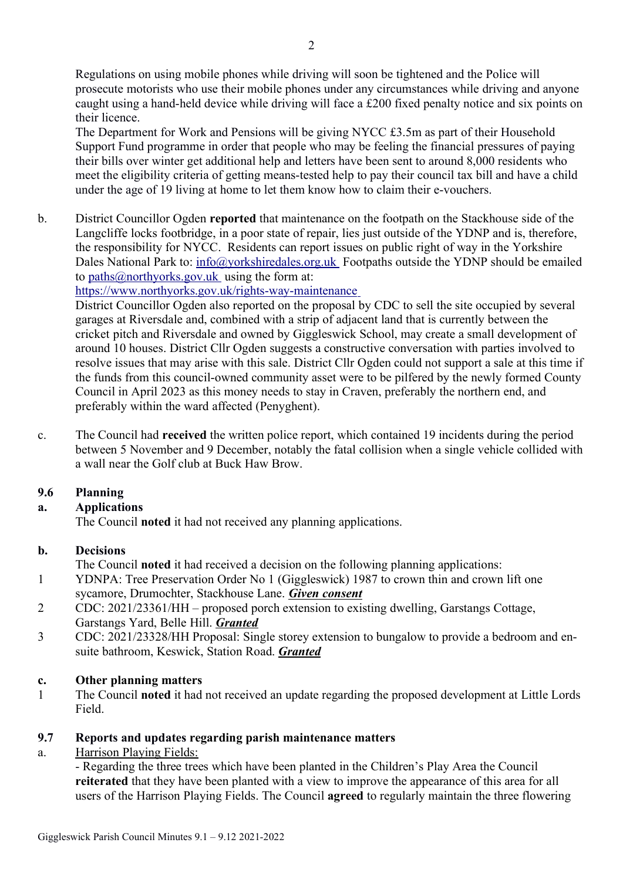Regulations on using mobile phones while driving will soon be tightened and the Police will prosecute motorists who use their mobile phones under any circumstances while driving and anyone caught using a hand-held device while driving will face a £200 fixed penalty notice and six points on their licence.

The Department for Work and Pensions will be giving NYCC £3.5m as part of their Household Support Fund programme in order that people who may be feeling the financial pressures of paying their bills over winter get additional help and letters have been sent to around 8,000 residents who meet the eligibility criteria of getting means-tested help to pay their council tax bill and have a child under the age of 19 living at home to let them know how to claim their e-vouchers.

b. District Councillor Ogden reported that maintenance on the footpath on the Stackhouse side of the Langcliffe locks footbridge, in a poor state of repair, lies just outside of the YDNP and is, therefore, the responsibility for NYCC. Residents can report issues on public right of way in the Yorkshire Dales National Park to: info@yorkshiredales.org.uk Footpaths outside the YDNP should be emailed to paths@northyorks.gov.uk using the form at:

https://www.northyorks.gov.uk/rights-way-maintenance

District Councillor Ogden also reported on the proposal by CDC to sell the site occupied by several garages at Riversdale and, combined with a strip of adjacent land that is currently between the cricket pitch and Riversdale and owned by Giggleswick School, may create a small development of around 10 houses. District Cllr Ogden suggests a constructive conversation with parties involved to resolve issues that may arise with this sale. District Cllr Ogden could not support a sale at this time if the funds from this council-owned community asset were to be pilfered by the newly formed County Council in April 2023 as this money needs to stay in Craven, preferably the northern end, and preferably within the ward affected (Penyghent).

c. The Council had received the written police report, which contained 19 incidents during the period between 5 November and 9 December, notably the fatal collision when a single vehicle collided with a wall near the Golf club at Buck Haw Brow.

# 9.6 Planning

# a. Applications

The Council noted it had not received any planning applications.

# b. Decisions

- The Council noted it had received a decision on the following planning applications:
- 1 YDNPA: Tree Preservation Order No 1 (Giggleswick) 1987 to crown thin and crown lift one sycamore, Drumochter, Stackhouse Lane. Given consent
- 2 CDC: 2021/23361/HH proposed porch extension to existing dwelling, Garstangs Cottage, Garstangs Yard, Belle Hill. Granted
- 3 CDC: 2021/23328/HH Proposal: Single storey extension to bungalow to provide a bedroom and ensuite bathroom, Keswick, Station Road. Granted

# c. Other planning matters

1 The Council noted it had not received an update regarding the proposed development at Little Lords Field.

# 9.7 Reports and updates regarding parish maintenance matters

a. Harrison Playing Fields:

- Regarding the three trees which have been planted in the Children's Play Area the Council reiterated that they have been planted with a view to improve the appearance of this area for all users of the Harrison Playing Fields. The Council agreed to regularly maintain the three flowering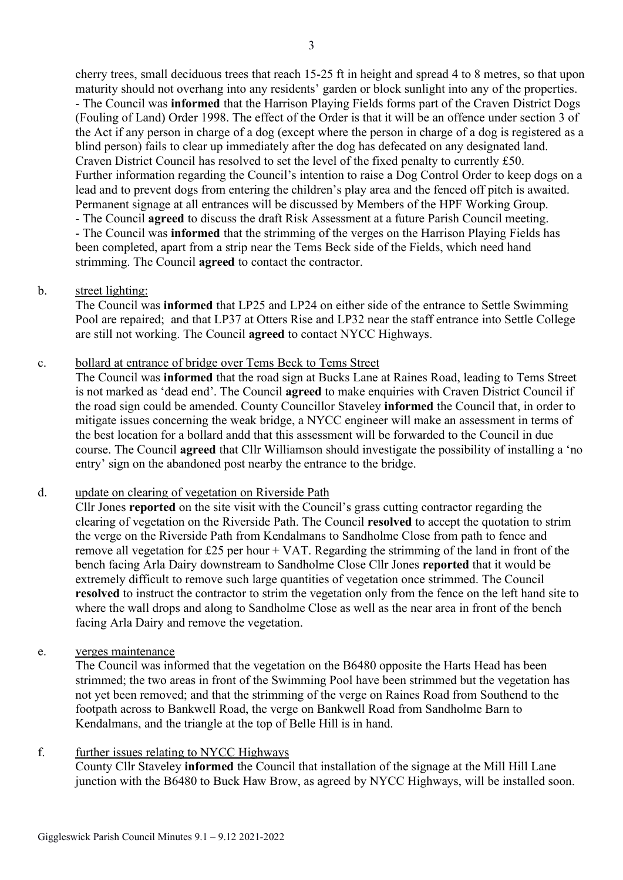cherry trees, small deciduous trees that reach 15-25 ft in height and spread 4 to 8 metres, so that upon maturity should not overhang into any residents' garden or block sunlight into any of the properties. - The Council was informed that the Harrison Playing Fields forms part of the Craven District Dogs (Fouling of Land) Order 1998. The effect of the Order is that it will be an offence under section 3 of the Act if any person in charge of a dog (except where the person in charge of a dog is registered as a blind person) fails to clear up immediately after the dog has defecated on any designated land. Craven District Council has resolved to set the level of the fixed penalty to currently £50. Further information regarding the Council's intention to raise a Dog Control Order to keep dogs on a lead and to prevent dogs from entering the children's play area and the fenced off pitch is awaited. Permanent signage at all entrances will be discussed by Members of the HPF Working Group. - The Council agreed to discuss the draft Risk Assessment at a future Parish Council meeting. - The Council was informed that the strimming of the verges on the Harrison Playing Fields has been completed, apart from a strip near the Tems Beck side of the Fields, which need hand

### b. street lighting:

The Council was informed that LP25 and LP24 on either side of the entrance to Settle Swimming Pool are repaired; and that LP37 at Otters Rise and LP32 near the staff entrance into Settle College are still not working. The Council agreed to contact NYCC Highways.

#### c. bollard at entrance of bridge over Tems Beck to Tems Street

strimming. The Council **agreed** to contact the contractor.

The Council was informed that the road sign at Bucks Lane at Raines Road, leading to Tems Street is not marked as 'dead end'. The Council agreed to make enquiries with Craven District Council if the road sign could be amended. County Councillor Staveley informed the Council that, in order to mitigate issues concerning the weak bridge, a NYCC engineer will make an assessment in terms of the best location for a bollard andd that this assessment will be forwarded to the Council in due course. The Council agreed that Cllr Williamson should investigate the possibility of installing a 'no entry' sign on the abandoned post nearby the entrance to the bridge.

#### d. update on clearing of vegetation on Riverside Path

Cllr Jones reported on the site visit with the Council's grass cutting contractor regarding the clearing of vegetation on the Riverside Path. The Council resolved to accept the quotation to strim the verge on the Riverside Path from Kendalmans to Sandholme Close from path to fence and remove all vegetation for £25 per hour  $+$  VAT. Regarding the strimming of the land in front of the bench facing Arla Dairy downstream to Sandholme Close Cllr Jones reported that it would be extremely difficult to remove such large quantities of vegetation once strimmed. The Council resolved to instruct the contractor to strim the vegetation only from the fence on the left hand site to where the wall drops and along to Sandholme Close as well as the near area in front of the bench facing Arla Dairy and remove the vegetation.

#### e. verges maintenance

The Council was informed that the vegetation on the B6480 opposite the Harts Head has been strimmed; the two areas in front of the Swimming Pool have been strimmed but the vegetation has not yet been removed; and that the strimming of the verge on Raines Road from Southend to the footpath across to Bankwell Road, the verge on Bankwell Road from Sandholme Barn to Kendalmans, and the triangle at the top of Belle Hill is in hand.

# f. further issues relating to NYCC Highways

County Cllr Staveley informed the Council that installation of the signage at the Mill Hill Lane junction with the B6480 to Buck Haw Brow, as agreed by NYCC Highways, will be installed soon.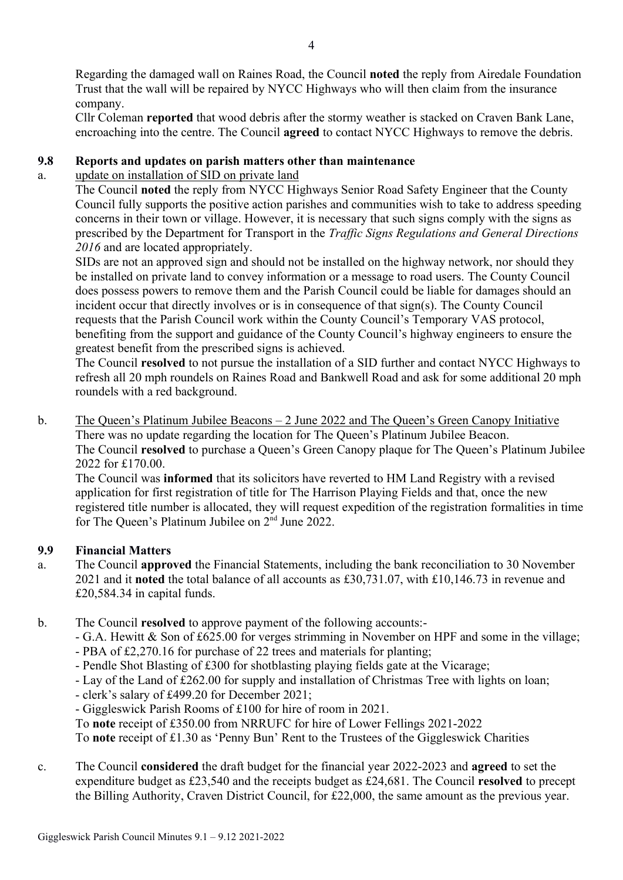Regarding the damaged wall on Raines Road, the Council noted the reply from Airedale Foundation Trust that the wall will be repaired by NYCC Highways who will then claim from the insurance company.

Cllr Coleman reported that wood debris after the stormy weather is stacked on Craven Bank Lane, encroaching into the centre. The Council agreed to contact NYCC Highways to remove the debris.

# 9.8 Reports and updates on parish matters other than maintenance

# a. update on installation of SID on private land

The Council noted the reply from NYCC Highways Senior Road Safety Engineer that the County Council fully supports the positive action parishes and communities wish to take to address speeding concerns in their town or village. However, it is necessary that such signs comply with the signs as prescribed by the Department for Transport in the Traffic Signs Regulations and General Directions 2016 and are located appropriately.

SIDs are not an approved sign and should not be installed on the highway network, nor should they be installed on private land to convey information or a message to road users. The County Council does possess powers to remove them and the Parish Council could be liable for damages should an incident occur that directly involves or is in consequence of that sign(s). The County Council requests that the Parish Council work within the County Council's Temporary VAS protocol, benefiting from the support and guidance of the County Council's highway engineers to ensure the greatest benefit from the prescribed signs is achieved.

The Council resolved to not pursue the installation of a SID further and contact NYCC Highways to refresh all 20 mph roundels on Raines Road and Bankwell Road and ask for some additional 20 mph roundels with a red background.

b. The Queen's Platinum Jubilee Beacons – 2 June 2022 and The Queen's Green Canopy Initiative There was no update regarding the location for The Queen's Platinum Jubilee Beacon. The Council resolved to purchase a Queen's Green Canopy plaque for The Queen's Platinum Jubilee 2022 for £170.00.

The Council was informed that its solicitors have reverted to HM Land Registry with a revised application for first registration of title for The Harrison Playing Fields and that, once the new registered title number is allocated, they will request expedition of the registration formalities in time for The Queen's Platinum Jubilee on  $2<sup>nd</sup>$  June 2022.

# 9.9 Financial Matters

- a. The Council approved the Financial Statements, including the bank reconciliation to 30 November 2021 and it noted the total balance of all accounts as £30,731.07, with £10,146.73 in revenue and £20,584.34 in capital funds.
- b. The Council resolved to approve payment of the following accounts:-
	- G.A. Hewitt & Son of £625.00 for verges strimming in November on HPF and some in the village;
	- PBA of £2,270.16 for purchase of 22 trees and materials for planting;
	- Pendle Shot Blasting of £300 for shotblasting playing fields gate at the Vicarage;
	- Lay of the Land of £262.00 for supply and installation of Christmas Tree with lights on loan;
	- clerk's salary of £499.20 for December 2021;
	- Giggleswick Parish Rooms of £100 for hire of room in 2021.
	- To note receipt of £350.00 from NRRUFC for hire of Lower Fellings 2021-2022

To note receipt of £1.30 as 'Penny Bun' Rent to the Trustees of the Giggleswick Charities

c. The Council considered the draft budget for the financial year 2022-2023 and agreed to set the expenditure budget as £23,540 and the receipts budget as £24,681. The Council resolved to precept the Billing Authority, Craven District Council, for £22,000, the same amount as the previous year.